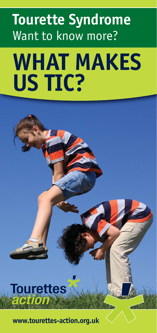# **Tourette Syndrome** Want to know more?

# **WHAT MAKES US TIC?**

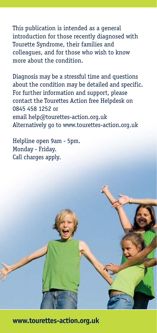This publication is intended as a general introduction for those recently diagnosed with Tourette Syndrome, their families and colleagues, and for those who wish to know more about the condition.

Diagnosis may be a stressful time and questions about the condition may be detailed and specific. For further information and support, please contact the Tourettes Action free Helpdesk on 0845 458 1252 or email help@tourettes-action.org.uk Alternatively go to www.tourettes-action.org.uk

Helpline open 9am - 5pm. Monday - Friday. Call charges apply.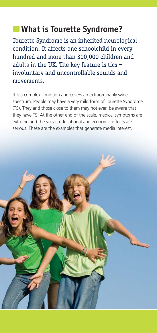# **What is Tourette Syndrome?**

Tourette Syndrome is an inherited neurological condition. It affects one schoolchild in every hundred and more than 300,000 children and adults in the UK. The key feature is tics – involuntary and uncontrollable sounds and movements.

It is a complex condition and covers an extraordinarily wide spectrum. People may have a very mild form of Tourette Syndrome (TS). They and those close to them may not even be aware that they have TS. At the other end of the scale, medical symptoms are extreme and the social, educational and economic effects are serious. These are the examples that generate media interest.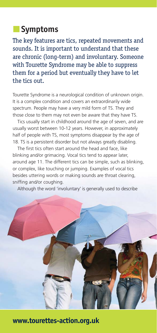# **Symptoms**

The key features are tics, repeated movements and sounds. It is important to understand that these are chronic (long-term) and involuntary. Someone with Tourette Syndrome may be able to suppress them for a period but eventually they have to let the tics out.

Tourette Syndrome is a neurological condition of unknown origin. It is a complex condition and covers an extraordinarily wide spectrum. People may have a very mild form of TS. They and those close to them may not even be aware that they have TS.

Tics usually start in childhood around the age of seven, and are usually worst between 10-12 years. However, in approximately half of people with TS, most symptoms disappear by the age of 18. TS is a persistent disorder but not always greatly disabling.

The first tics often start around the head and face, like blinking and/or grimacing. Vocal tics tend to appear later, around age 11. The different tics can be simple, such as blinking, or complex, like touching or jumping. Examples of vocal tics besides uttering words or making sounds are throat clearing, sniffing and/or coughing.

Although the word 'involuntary' is generally used to describe

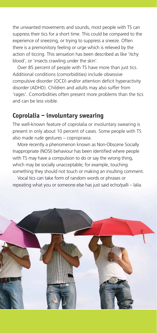the unwanted movements and sounds, most people with TS can suppress their tics for a short time. This could be compared to the experience of sneezing, or trying to suppress a sneeze. Often there is a premonitory feeling or urge which is relieved by the action of ticcing. This sensation has been described as like 'itchy blood', or 'insects crawling under the skin'.

Over 85 percent of people with TS have more than just tics. Additional conditions (comorbidities) include obsessive compulsive disorder (OCD) and/or attention deficit hyperactivity disorder (ADHD). Children and adults may also suffer from 'rages'. Comorbidities often present more problems than the tics and can be less visible.

#### **Coprolalia – involuntary swearing**

The well-known feature of coprolalia or involuntary swearing is present in only about 10 percent of cases. Some people with TS also made rude gestures – copropraxia.

More recently a phenomenon known as Non-Obscene Socially Inappropriate (NOSI) behaviour has been identified where people with TS may have a compulsion to do or say the wrong thing, which may be socially unacceptable; for example, touching something they should not touch or making an insulting comment.

Vocal tics can take form of random words or phrases or repeating what you or someone else has just said echo/palli – lalia.

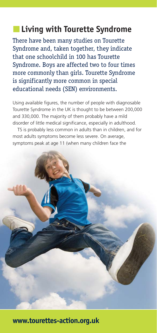# **Living with Tourette Syndrome**

There have been many studies on Tourette Syndrome and, taken together, they indicate that one schoolchild in 100 has Tourette Syndrome. Boys are affected two to four times more commonly than girls. Tourette Syndrome is significantly more common in special educational needs (SEN) environments.

Using available figures, the number of people with diagnosable Tourette Syndrome in the UK is thought to be between 200,000 and 330,000. The majority of them probably have a mild disorder of little medical significance, especially in adulthood.

TS is probably less common in adults than in children, and for most adults symptoms become less severe. On average, symptoms peak at age 11 (when many children face the

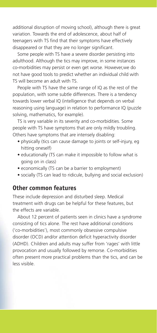additional disruption of moving school), although there is great variation. Towards the end of adolescence, about half of teenagers with TS find that their symptoms have effectively disappeared or that they are no longer significant.

Some people with TS have a severe disorder persisting into adulthood. Although the tics may improve, in some instances co-morbidities may persist or even get worse. However,we do not have good tools to predict whether an individual child with TS will become an adult with TS.

People with TS have the same range of IQ as the rest of the population, with some subtle differences. There is a tendency towards lower verbal IQ (intelligence that depends on verbal reasoning using language) in relation to performance IQ (puzzle solving, mathematics, for example).

TS is very variable in its severity and co-morbidities. Some people with TS have symptoms that are only mildly troubling. Others have symptoms that are intensely disabling:

- physically (tics can cause damage to joints or self-injury, eg hitting oneself)
- educationally (TS can make it impossible to follow what is going on in class)
- economically (TS can be a barrier to employment)
- socially (TS can lead to ridicule, bullying and social exclusion)

#### **Other common features**

These include depression and disturbed sleep. Medical treatment with drugs can be helpful for these features, but the effects are variable.

About 12 percent of patients seen in clinics have a syndrome consisting of tics alone. The rest have additional conditions ('co-morbidities'), most commonly obsessive compulsive disorder (OCD) and/or attention deficit hyperactivity disorder (ADHD). Children and adults may suffer from 'rages' with little provocation and usually followed by remorse. Co-morbidities often present more practical problems than the tics, and can be less visible.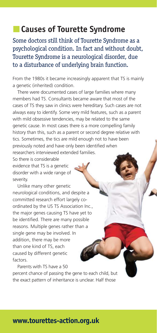# **Causes of Tourette Syndrome**

Some doctors still think of Tourette Syndrome as a psychological condition. In fact and without doubt, Tourette Syndrome is a neurological disorder, due to a disturbance of underlying brain function.

From the 1980s it became increasingly apparent that TS is mainly a genetic (inherited) condition.

There were documented cases of large families where many members had TS. Consultants became aware that most of the cases of TS they saw in clinics were hereditary. Such cases are not always easy to identify. Some very mild features, such as a parent with mild obsessive tendencies, may be related to the same genetic cause. In most cases there is a more compelling family history than this, such as a parent or second degree relative with tics. Sometimes, the tics are mild enough not to have been previously noted and have only been identified when researchers interviewed extended families.

So there is considerable evidence that TS is a genetic disorder with a wide range of severity.

Unlike many other genetic neurological conditions, and despite a committed research effort largely coordinated by the US TS Association Inc., the major genes causing TS have yet to be identified. There are many possible reasons. Multiple genes rather than a single gene may be involved. In addition, there may be more than one kind of TS, each caused by different genetic factors.

Parents with TS have a 50 percent chance of passing the gene to each child, but the exact pattern of inheritance is unclear. Half those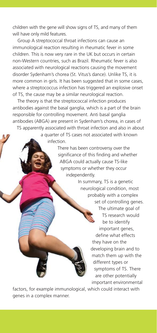children with the gene will show signs of TS, and many of them will have only mild features.

Group A streptococcal throat infections can cause an immunological reaction resulting in rheumatic fever in some children. This is now very rare in the UK but occurs in certain non-Western countries, such as Brazil. Rheumatic fever is also associated with neurological reactions causing the movement disorder Sydenham's chorea (St. Vitus's dance). Unlike TS, it is more common in girls. It has been suggested that in some cases, where a streptococcus infection has triggered an explosive onset of TS, the cause may be a similar neurological reaction.

The theory is that the streptococcal infection produces antibodies against the basal ganglia, which is a part of the brain responsible for controlling movement. Anti basal ganglia antibodies (ABGA) are present in Sydenham's chorea, in cases of

TS apparently associated with throat infection and also in about a quarter of TS cases not associated with known infection.

> There has been controversy over the significance of this finding and whether ABGA could actually cause TS-like symptoms or whether they occur independently.

> > In summary, TS is a genetic neurological condition, most probably with a complex set of controlling genes. The ultimate goal of TS research would be to identify important genes, define what effects they have on the developing brain and to match them up with the different types or symptoms of TS. There are other potentially important environmental

factors, for example immunological, which could interact with genes in a complex manner.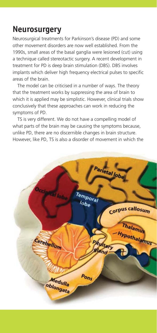# **Neurosurgery**

Neurosurgical treatments for Parkinson's disease (PD) and some other movement disorders are now well established. From the 1990s, small areas of the basal ganglia were lesioned (cut) using a technique called stereotactic surgery. A recent development in treatment for PD is deep brain stimulation (DBS). DBS involves implants which deliver high frequency electrical pulses to specific areas of the brain.

The model can be criticised in a number of ways. The theory that the treatment works by suppressing the area of brain to which it is applied may be simplistic. However, clinical trials show conclusively that these approaches can work in reducing the symptoms of PD.

TS is very different. We do not have a compelling model of what parts of the brain may be causing the symptoms because, unlike PD, there are no discernible changes in brain structure. However, like PD, TS is also a disorder of movement in which the

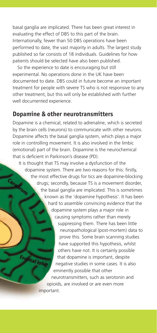basal ganglia are implicated. There has been great interest in evaluating the effect of DBS to this part of the brain. Internationally, fewer than 50 DBS operations have been performed to date, the vast majority in adults. The largest study published so far consists of 18 individuals. Guidelines for how patients should be selected have also been published.

So the experience to date is encouraging but still experimental. No operations done in the UK have been documented to date. DBS could in future become an important treatment for people with severe TS who is not responsive to any other treatment, but this will only be established with further well documented experience.

#### **Dopamine & other neurotransmitters**

Dopamine is a chemical, related to adrenaline, which is secreted by the brain cells (neurons) to communicate with other neurons. Dopamine affects the basal ganglia system, which plays a major role in controlling movement. It is also involved in the limbic (emotional) part of the brain. Dopamine is the neurochemical that is deficient in Parkinson's disease (PD).

It is thought that TS may involve a dysfunction of the dopamine system. There are two reasons for this: firstly, the most effective drugs for tics are dopamine-blocking drugs; secondly, because TS is a movement disorder, the basal ganglia are implicated. This is sometimes known as the 'dopamine hypothesis'. It has been hard to assemble convincing evidence that the dopamine system plays a major role in causing symptoms rather than merely suppressing them. There has been little neuropathological (post-mortem) data to prove this. Some brain scanning studies have supported this hypothesis, whilst others have not. It is certainly possible that dopamine is important, despite negative studies in some cases. It is also eminently possible that other neurotransmitters, such as serotonin and opioids, are involved or are even more important.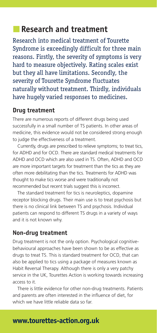### **Research and treatment**

Research into medical treatment of Tourette Syndrome is exceedingly difficult for three main reasons. Firstly, the severity of symptoms is very hard to measure objectively. Rating scales exist but they all have limitations. Secondly, the severity of Tourette Syndrome fluctuates naturally without treatment. Thirdly, individuals have hugely varied responses to medicines.

#### **Drug treatment**

There are numerous reports of different drugs being used successfully in a small number of TS patients. In other areas of medicine, this evidence would not be considered strong enough to judge the effectiveness of a treatment.

Currently, drugs are prescribed to relieve symptoms; to treat tics, for ADHD and for OCD. There are standard medical treatments for ADHD and OCD which are also used in TS. Often, ADHD and OCD are more important targets for treatment than the tics as they are often more debilitating than the tics. Treatments for ADHD was thought to make tics worse and were traditionally not recommended but recent trials suggest this is incorrect.

The standard treatment for tics is neuroleptics, dopamine receptor blocking drugs. Their main use is to treat psychosis but there is no clinical link between TS and psychosis. Individual patients can respond to different TS drugs in a variety of ways and it is not known why.

#### **Non-drug treatment**

Drug treatment is not the only option. Psychological cognitivebehavioural approaches have been shown to be as effective as drugs to treat TS. This is standard treatment for OCD, that can also be applied to tics using a package of measures known as Habit Reversal Therapy. Although there is only a very patchy service in the UK, Tourettes Action is working towards increasing access to it.

There is little evidence for other non-drug treatments. Patients and parents are often interested in the influence of diet, for which we have little reliable data so far.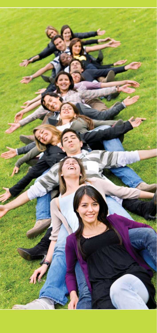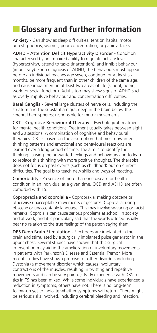# **Glossary and further information**

Anxiety - Can show as sleep difficulties, tension habits, motor unrest, phobias, worries, poor concentration, or panic attacks.

ADHD – Attention Deficit Hyperactivity Disorder - Condition characterised by an impaired ability to regulate activity level (hyperactivity), attend to tasks (inattention), and inhibit behaviour (impulsivity). For a diagnosis of ADHD, the behaviours must appear before an individual reaches age seven, continue for at least six months, be more frequent than in other children of the same age, and cause impairment in at least two areas of life (school, home, work, or social function). Adults too may show signs of ADHD such as overly impulsive behaviour and concentration diffi culties.

Basal Ganglia - Several large clusters of nerve cells, including the striatum and the substantia nigra, deep in the brain below the cerebral hemispheres; responsible for motor movements.

CBT – Cognitive Behavioural Therapy – Psychological treatment for mental health conditions. Treatment usually takes between eight and 20 sessions. A combination of cognitive and behavioural therapies. CBT is based on the assumption that most unwanted thinking patterns and emotional and behavioural reactions are learned over a long period of time. The aim is to identify the thinking causing the unwanted feelings and behaviours and to learn to replace this thinking with more positive thoughts. The therapist does not focus on past events (such as childhood) but on current difficulties. The goal is to teach new skills and ways of reacting.

Comorbidity - Presence of more than one disease or health condition in an individual at a given time. OCD and ADHD are often comorbid with TS.

Copropraxia and coprolalia - Copropraxia: making obscene or otherwise unacceptable movements or gestures. Coprolalia: using obscene or unacceptable language. This may involve swearing or racist remarks. Coprolalia can cause serious problems at school, in society and at work, and it is particularly sad that the words uttered usually bear no relation to the true feelings of the person saying them.

DBS Deep Brain Stimulation - Electrodes are implanted in the brain and stimulated by a surgically implanted pulse generator in the upper chest. Several studies have shown that this surgical intervention may aid in the amelioration of involuntary movements in patients with Parkinson's Disease and Essential Tremor. More recent studies have shown promise for other disorders including Dystonia (a movement disorder which causes involuntary contractions of the muscles, resulting in twisting and repetitive movements and can be very painful). Early experience with DBS for tics in TS has been mixed. While some individuals have experienced a reduction in symptoms, others have not. There is no long-term follow-up yet to indicate whether symptoms will return. There might be serious risks involved, including cerebral bleeding and infection.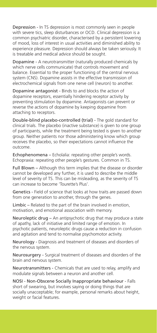Depression - In TS depression is most commonly seen in people with severe tics, sleep disturbances or OCD. Clinical depression is a common psychiatric disorder, characterised by a persistent lowering of mood, loss of interest in usual activities and diminished ability to experience pleasure. Depression should always be taken seriously. It is treatable and medical advice should be sought.

Dopamine - A neurotransmitter (naturally produced chemicals by which nerve cells communicate) that controls movement and balance. Essential to the proper functioning of the central nervous system (CNS). Dopamine assists in the effective transmission of electrochemical signals from one nerve cell (neuron) to another.

Dopamine antagonist - Binds to and blocks the action of dopamine receptors, essentially hindering receptor activity by preventing stimulation by dopamine. Antagonists can prevent or reverse the actions of dopamine by keeping dopamine from attaching to receptors.

Double-blind placebo-controlled (trial) - The gold standard for clinical trials. The placebo (inactive substance) is given to one group of participants, while the treatment being tested is given to another group. Neither patients nor those administering know which group receives the placebo, so their expectations cannot influence the outcome.

Echophenomena – Echolalia: repeating other people's words. Echopraxia: repeating other people's gestures. Common in TS.

Full Blown – Although this term implies that the disease or disorder cannot be developed any further, it is used to describe the middle level of severity of TS. This can be misleading, as the severity of TS can increase to become 'Tourette's Plus'.

Genetics - Field of science that looks at how traits are passed down from one generation to another, through the genes.

Limbic – Related to the part of the brain involved in emotion, motivation, and emotional association with memory.

Neuroleptic drug – An antipsychotic drug that may produce a state of apathy, lack of initiative and limited range of emotion. In psychotic patients, neuroleptic drugs cause a reduction in confusion and agitation and tend to normalise psychomotor activity.

Neurology - Diagnosis and treatment of diseases and disorders of the nervous system.

Neurosurgery - Surgical treatment of diseases and disorders of the brain and nervous system.

Neurotransmitters - Chemicals that are used to relay, amplify and modulate signals between a neuron and another cell.

NOSI - Non-Obscene Socially Inappropriate behaviour - Falls short of swearing, but involves saying or doing things that are socially unacceptable; for example, personal remarks about height, weight or facial features.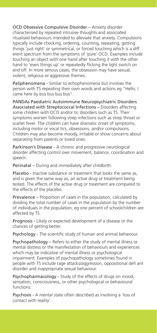OCD Obsessive Compulsive Disorder – Anxiety disorder characterised by repeated intrusive thoughts and associated ritualised behaviours intended to alleviate that anxiety. Compulsions typically include checking, ordering, counting, repeating, getting things 'just right' or symmetrical, or forced touching which is a diff erent spectrum from the symptoms of 'pure' OCD. Examples include touching an object with one hand after touching it with the other hand to 'even things up' or repeatedly flicking the light switch on and off. In more serious cases, the obsession may have sexual, violent, religious or aggressive themes.

Paliphenomena - Similar to echophenomena but involves the person with TS repeating their own words and actions eg "Hello, I came here by bus bus bus bus".

PANDAs Paediatric Autoimmune Neuropsychiatric Disorders Associated with Streptococcal Infections – Disorders affecting some children with OCD and/or tic disorders such as TS. Their symptoms worsen following strep infections such as strep throat or scarlet fever. The children can have dramatic onset of symptoms, including motor or vocal tics, obsessions, and/or compulsions. Children may also become moody, irritable or show concerns about separating from parents or loved ones.

Parkinson's Disease - A chronic and progressive neurological disorder affecting control over movement, balance, coordination and speech.

Perinatal – During and immediately after childbirth.

Placebo - Inactive substance or treatment that looks the same as, and is given the same way as, an active drug or treatment being tested. The effects of the active drug or treatment are compared to the effects of the placebo.

Prevalence – Proportion of cases in the population; calculated by dividing the total number of cases in the population by the number of individuals in the population, eg one percent of schoolchildren are affected by TS.

Prognosis - Likely or expected development of a disease or the chances of getting better.

Psychology - The scientific study of human and animal behaviour.

Psychopathology – Refers to either the study of mental illness or mental distress or the manifestation of behaviours and experiences which may be indicative of mental illness or psychological impairment. Examples of psychopathology sometimes found in people with TS include rage attacks/aggression, oppositional defi ant disorder and inappropriate sexual behaviour.

Psychopharmacology - Study of the effects of drugs on mood, sensation, consciousness, or other psychological or behavioural functions.

Psychosis - A mental state often described as involving a 'loss of contact with reality'.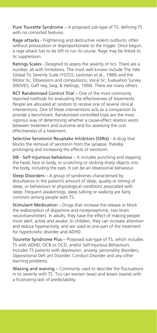Pure Tourette Syndrome – A proposed sub-type of TS, defining TS with no comorbid features.

Rage attacks - Frightening and destructive violent outburst, often without provocation or disproportionate to the trigger. Once begun, a rage attack has to be left to run its course. Rage may be linked to tic suppression.

Ratings Scales - Designed to assess the severity of tics. There are a number, all with limitations. The most well known include The Yale Global Tic Severity Scale (YGTSS; Leckman et al., 1989) and the Motor tic, Obsessions and compulsions, Vocal tic, Evaluation Survey (MOVES; Gaff ney, Sieg, & Hellings, 1994). There are many others.

RCT Randomised Control Trial – One of the most commonly reported methods for evaluating the effectiveness of treatments. People are allocated at random to receive one of several clinical interventions. One of these interventions acts as a comparison to provide a benchmark. Randomised controlled trials are the most rigorous way of determining whether a cause-effect relation exists between treatment and outcome and for assessing the cost effectiveness of a treatment.

Selective Serotonin Reuptake Inhibitors (SSRIs) - A drug that blocks the removal of serotonin from the synapse; thereby prolonging and increasing the effects of serotonin.

SIB - Self-injurious behaviour – It includes punching and slapping the head, face or body, or scratching or sticking sharp objects into the body, including the eyes. It can be an obsessional behaviour.

Sleep Disorders – A group of syndromes characterised by disturbance in the patient's amount of sleep, quality or timing of sleep, or behaviours or physiological conditions associated with sleep. Frequent awakenings, sleep talking or walking are fairly common among people with TS.

Stimulant Medication – Drugs that increase the release or block the reabsorption of dopamine and norepinephrine, two brain neurotransmitters. In adults, they have the effect of making people more alert, active and awake. In children, they can increase attention and reduce hyperactivity, and are used as one part of the treatment for hyperkinetic disorder and ADHD.

Tourette Syndrome Plus – Proposed sub-type of TS, which includes TS with ADHD, OCB or OCD, and/or Self-Injurious Behaviours. Includes TS patients with depression, anxiety, personality disorders, Oppositional Defi ant Disorder, Conduct Disorder and any other learning problems.

Waxing and waning – Commonly used to describe the fluctuations in tic severity with TS. Tics can worsen (wax) and lessen (wane) with a frustrating lack of predictability.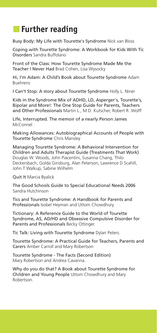# **Further reading**

Busy Body: My Life with Tourette's Syndrome Nick van Bloss

Coping with Tourette Syndrome: A Workbook for Kids With Tic Disorders Sandra Buffolano

Front of the Class: How Tourette Syndrome Made Me the Teacher I Never Had Brad Cohen, Lisa Wysocky

Hi, I'm Adam: A Child's Book about Tourette Syndrome Adam Buehrens

I Can't Stop: A story about Tourette Syndrome Holly L. Niner

Kids in the Syndrome Mix of ADHD, LD, Asperger's, Tourette's, Bipolar and More!: The One Stop Guide for Parents, Teachers and Other Professionals Martin L., M.D. Kutscher, Robert R. Wolff

Life, Interrupted. The memoir of a nearly Person James **McConnel** 

Making Allowances: Autobiographical Accounts of People with Tourette Syndrome Chris Mansley

Managing Tourette Syndrome: A Behavioral Intervention for Children and Adults Therapist Guide (Treatments That Work) Douglas W. Woods, John Piacentini, Susanna Chang, Thilo Deckersbach, Golda Ginsburg, Alan Peterson, Lawrence D Scahill, John T Walkup, Sabine Wilhelm

Quit It Marcia Byalick

The Good Schools Guide to Special Educational Needs 2006 Sandra Hutchinson

Tics and Tourette Syndrome: A Handbook for Parents and Professionals Isobel Heyman and Uttom Chowdhury.

Tictionary: A Reference Guide to the World of Tourette Syndrome, AS, AD/HD and Obsessive Compulsive Disorder for Parents and Professionals Becky Ottinger.

Tic Talk: Living with Tourette Syndrome Dylan Peters.

Tourette Syndrome: A Practical Guide for Teachers, Parents and Carers Amber Carroll and Mary Robertson

Tourette Syndrome - The Facts (Second Edition) Mary Robertson and Andrea Cavanna.

Why do you do that? A Book about Tourette Syndrome for Children and Young People Uttom Chowdhury and Mary Robertson.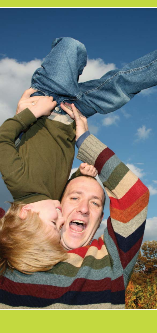